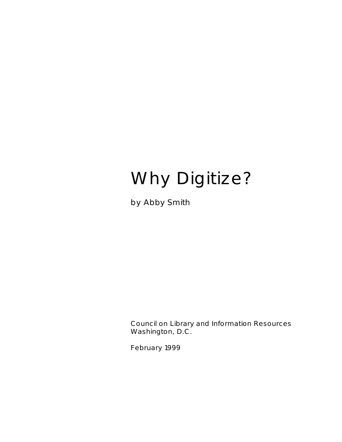# Why Digitize?

by Abby Smith

Council on Library and Information Resources Washington, D.C.

February 1999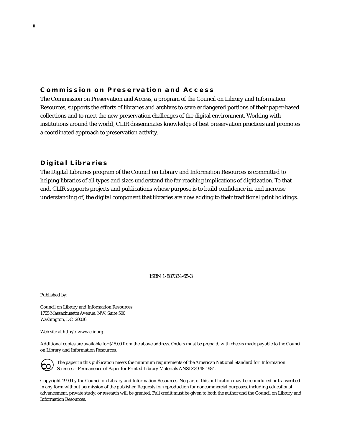### **Commission on Preservation and Access**

The Commission on Preservation and Access, a program of the Council on Library and Information Resources, supports the efforts of libraries and archives to save endangered portions of their paper-based collections and to meet the new preservation challenges of the digital environment. Working with institutions around the world, CLIR disseminates knowledge of best preservation practices and promotes a coordinated approach to preservation activity.

## **Digital Libraries**

The Digital Libraries program of the Council on Library and Information Resources is committed to helping libraries of all types and sizes understand the far-reaching implications of digitization. To that end, CLIR supports projects and publications whose purpose is to build confidence in, and increase understanding of, the digital component that libraries are now adding to their traditional print holdings.

#### ISBN 1-887334-65-3

Published by:

Council on Library and Information Resources 1755 Massachusetts Avenue, NW, Suite 500 Washington, DC 20036

Web site at http://www.clir.org

Additional copies are available for \$15.00 from the above address. Orders must be prepaid, with checks made payable to the Council on Library and Information Resources.

 $\bigotimes$ 

The paper in this publication meets the minimum requirements of the American National Standard for Information Sciences—Permanence of Paper for Printed Library Materials ANSI Z39.48-1984.

Copyright 1999 by the Council on Library and Information Resources. No part of this publication may be reproduced or transcribed in any form without permission of the publisher. Requests for reproduction for noncommercial purposes, including educational advancement, private study, or research will be granted. Full credit must be given to both the author and the Council on Library and Information Resources.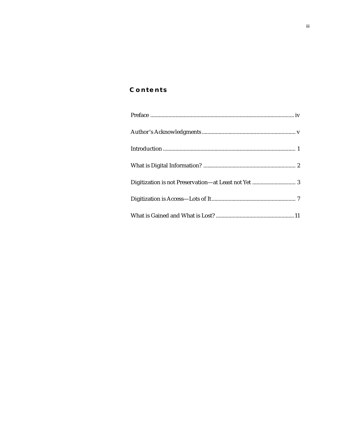## **Contents**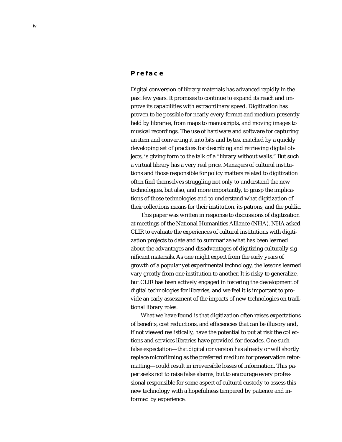#### **Preface**

Digital conversion of library materials has advanced rapidly in the past few years. It promises to continue to expand its reach and improve its capabilities with extraordinary speed. Digitization has proven to be possible for nearly every format and medium presently held by libraries, from maps to manuscripts, and moving images to musical recordings. The use of hardware and software for capturing an item and converting it into bits and bytes, matched by a quickly developing set of practices for describing and retrieving digital objects, is giving form to the talk of a "library without walls." But such a virtual library has a very real price. Managers of cultural institutions and those responsible for policy matters related to digitization often find themselves struggling not only to understand the new technologies, but also, and more importantly, to grasp the implications of those technologies and to understand what digitization of their collections means for their institution, its patrons, and the public.

This paper was written in response to discussions of digitization at meetings of the National Humanities Alliance (NHA). NHA asked CLIR to evaluate the experiences of cultural institutions with digitization projects to date and to summarize what has been learned about the advantages and disadvantages of digitizing culturally significant materials. As one might expect from the early years of growth of a popular yet experimental technology, the lessons learned vary greatly from one institution to another. It is risky to generalize, but CLIR has been actively engaged in fostering the development of digital technologies for libraries, and we feel it is important to provide an early assessment of the impacts of new technologies on traditional library roles.

What we have found is that digitization often raises expectations of benefits, cost reductions, and efficiencies that can be illusory and, if not viewed realistically, have the potential to put at risk the collections and services libraries have provided for decades. One such false expectation—that digital conversion has already or will shortly replace microfilming as the preferred medium for preservation reformatting—could result in irreversible losses of information. This paper seeks not to raise false alarms, but to encourage every professional responsible for some aspect of cultural custody to assess this new technology with a hopefulness tempered by patience and informed by experience.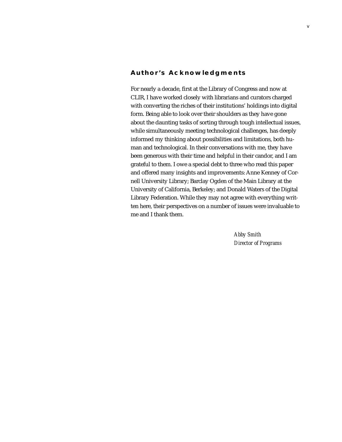#### **Author's Acknowledgments**

For nearly a decade, first at the Library of Congress and now at CLIR, I have worked closely with librarians and curators charged with converting the riches of their institutions' holdings into digital form. Being able to look over their shoulders as they have gone about the daunting tasks of sorting through tough intellectual issues, while simultaneously meeting technological challenges, has deeply informed my thinking about possibilities and limitations, both human and technological. In their conversations with me, they have been generous with their time and helpful in their candor, and I am grateful to them. I owe a special debt to three who read this paper and offered many insights and improvements: Anne Kenney of Cornell University Library; Barclay Ogden of the Main Library at the University of California, Berkeley; and Donald Waters of the Digital Library Federation. While they may not agree with everything written here, their perspectives on a number of issues were invaluable to me and I thank them.

> *Abby Smith Director of Programs*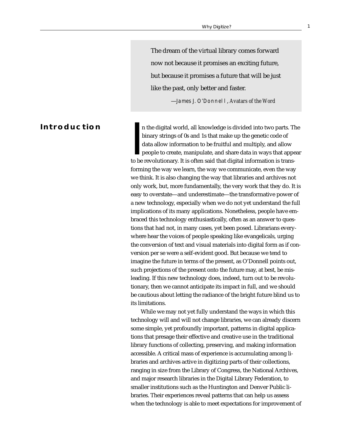The dream of the virtual library comes forward now not because it promises an exciting future, but because it promises a future that will be just like the past, only better and faster.

—James J. O'Donnell, *Avatars of the Word*

## **Introduction**

In the digital world, all knowledge is divided into two parts. The binary strings of 0s and 1s that make up the genetic code of data allow information to be fruitful and multiply, and allow people to create, manipulate, an n the digital world, all knowledge is divided into two parts. The binary strings of 0s and 1s that make up the genetic code of data allow information to be fruitful and multiply, and allow people to create, manipulate, and share data in ways that appear forming the way we learn, the way we communicate, even the way we think. It is also changing the way that libraries and archives not only work, but, more fundamentally, the very work that they do. It is easy to overstate—and underestimate—the transformative power of a new technology, especially when we do not yet understand the full implications of its many applications. Nonetheless, people have embraced this technology enthusiastically, often as an answer to questions that had not, in many cases, yet been posed. Librarians everywhere hear the voices of people speaking like evangelicals, urging the conversion of text and visual materials into digital form as if conversion per se were a self-evident good. But because we tend to imagine the future in terms of the present, as O'Donnell points out, such projections of the present onto the future may, at best, be misleading. If this new technology does, indeed, turn out to be revolutionary, then we cannot anticipate its impact in full, and we should be cautious about letting the radiance of the bright future blind us to its limitations.

While we may not yet fully understand the ways in which this technology will and will not change libraries, we can already discern some simple, yet profoundly important, patterns in digital applications that presage their effective and creative use in the traditional library functions of collecting, preserving, and making information accessible. A critical mass of experience is accumulating among libraries and archives active in digitizing parts of their collections, ranging in size from the Library of Congress, the National Archives, and major research libraries in the Digital Library Federation, to smaller institutions such as the Huntington and Denver Public libraries. Their experiences reveal patterns that can help us assess when the technology is able to meet expectations for improvement of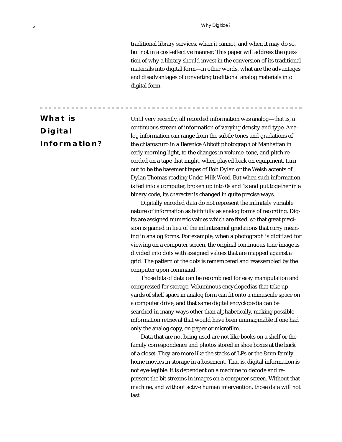traditional library services, when it cannot, and when it may do so, but not in a cost-effective manner. This paper will address the question of why a library should invest in the conversion of its traditional materials into digital form—in other words, what are the advantages and disadvantages of converting traditional analog materials into digital form.

-----------------------------

# **What is Digital Information?**

. . . . . . . . .

Until very recently, all recorded information was analog—that is, a continuous stream of information of varying density and type. Analog information can range from the subtle tones and gradations of the chiaroscuro in a Berenice Abbott photograph of Manhattan in early morning light, to the changes in volume, tone, and pitch recorded on a tape that might, when played back on equipment, turn out to be the basement tapes of Bob Dylan or the Welsh accents of Dylan Thomas reading *Under Milk Wood*. But when such information is fed into a computer, broken up into 0s and 1s and put together in a binary code, its character is changed in quite precise ways.

Digitally encoded data do not represent the infinitely variable nature of information as faithfully as analog forms of recording. Digits are assigned numeric values which are fixed, so that great precision is gained in lieu of the infinitesimal gradations that carry meaning in analog forms. For example, when a photograph is digitized for viewing on a computer screen, the original continuous tone image is divided into dots with assigned values that are mapped against a grid. The pattern of the dots is remembered and reassembled by the computer upon command.

Those bits of data can be recombined for easy manipulation and compressed for storage. Voluminous encyclopedias that take up yards of shelf space in analog form can fit onto a minuscule space on a computer drive, and that same digital encyclopedia can be searched in many ways other than alphabetically, making possible information retrieval that would have been unimaginable if one had only the analog copy, on paper or microfilm.

Data that are not being used are not like books on a shelf or the family correspondence and photos stored in shoe boxes at the back of a closet. They are more like the stacks of LPs or the 8mm family home movies in storage in a basement. That is, digital information is not eye-legible: it is dependent on a machine to decode and represent the bit streams in images on a computer screen. Without that machine, and without active human intervention, those data will not last.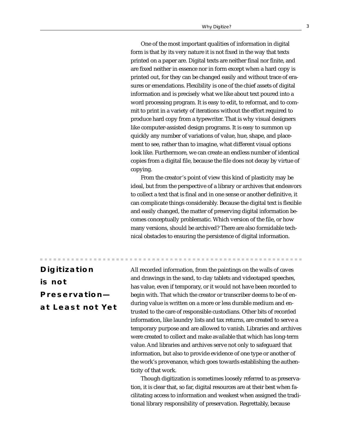One of the most important qualities of information in digital form is that by its very nature it is not fixed in the way that texts printed on a paper are. Digital texts are neither final nor finite, and are fixed neither in essence nor in form except when a hard copy is printed out, for they can be changed easily and without trace of erasures or emendations. Flexibility is one of the chief assets of digital information and is precisely what we like about text poured into a word processing program. It is easy to edit, to reformat, and to commit to print in a variety of iterations without the effort required to produce hard copy from a typewriter. That is why visual designers like computer-assisted design programs. It is easy to summon up quickly any number of variations of value, hue, shape, and placement to see, rather than to imagine, what different visual options look like. Furthermore, we can create an endless number of identical copies from a digital file, because the file does not decay by virtue of copying.

From the creator's point of view this kind of plasticity may be ideal, but from the perspective of a library or archives that endeavors to collect a text that is final and in one sense or another definitive, it can complicate things considerably. Because the digital text is flexible and easily changed, the matter of preserving digital information becomes conceptually problematic. Which version of the file, or how many versions, should be archived? There are also formidable technical obstacles to ensuring the persistence of digital information.

----------------------------------

**Digitization is not Preservation at Least not Yet**

All recorded information, from the paintings on the walls of caves and drawings in the sand, to clay tablets and videotaped speeches, has value, even if temporary, or it would not have been recorded to begin with. That which the creator or transcriber deems to be of enduring value is written on a more or less durable medium and entrusted to the care of responsible custodians. Other bits of recorded information, like laundry lists and tax returns, are created to serve a temporary purpose and are allowed to vanish. Libraries and archives were created to collect and make available that which has long-term value. And libraries and archives serve not only to safeguard that information, but also to provide evidence of one type or another of the work's provenance, which goes towards establishing the authenticity of that work.

Though digitization is sometimes loosely referred to as preservation, it is clear that, so far, digital resources are at their best when facilitating access to information and weakest when assigned the traditional library responsibility of preservation. Regrettably, because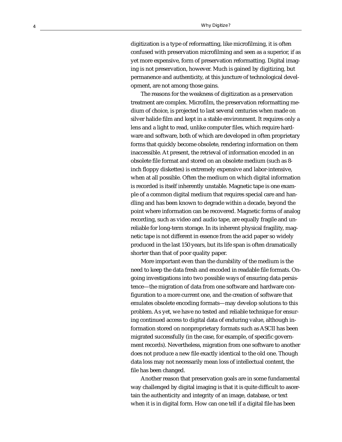digitization is a type of reformatting, like microfilming, it is often confused with preservation microfilming and seen as a superior, if as yet more expensive, form of preservation reformatting. Digital imaging is not preservation, however. Much is gained by digitizing, but permanence and authenticity, at this juncture of technological development, are not among those gains.

The reasons for the weakness of digitization as a preservation treatment are complex. Microfilm, the preservation reformatting medium of choice, is projected to last several centuries when made on silver halide film and kept in a stable environment. It requires only a lens and a light to read, unlike computer files, which require hardware and software, both of which are developed in often proprietary forms that quickly become obsolete, rendering information on them inaccessible. At present, the retrieval of information encoded in an obsolete file format and stored on an obsolete medium (such as 8 inch floppy diskettes) is extremely expensive and labor-intensive, when at all possible. Often the medium on which digital information is recorded is itself inherently unstable. Magnetic tape is one example of a common digital medium that requires special care and handling and has been known to degrade within a decade, beyond the point where information can be recovered. Magnetic forms of analog recording, such as video and audio tape, are equally fragile and unreliable for long-term storage. In its inherent physical fragility, magnetic tape is not different in essence from the acid paper so widely produced in the last 150 years, but its life span is often dramatically shorter than that of poor quality paper.

More important even than the durability of the medium is the need to keep the data fresh and encoded in readable file formats. Ongoing investigations into two possible ways of ensuring data persistence—the migration of data from one software and hardware configuration to a more current one, and the creation of software that emulates obsolete encoding formats—may develop solutions to this problem. As yet, we have no tested and reliable technique for ensuring continued access to digital data of enduring value, although information stored on nonproprietary formats such as ASCII has been migrated successfully (in the case, for example, of specific government records). Nevertheless, migration from one software to another does not produce a new file exactly identical to the old one. Though data loss may not necessarily mean loss of intellectual content, the file has been changed.

Another reason that preservation goals are in some fundamental way challenged by digital imaging is that it is quite difficult to ascertain the authenticity and integrity of an image, database, or text when it is in digital form. How can one tell if a digital file has been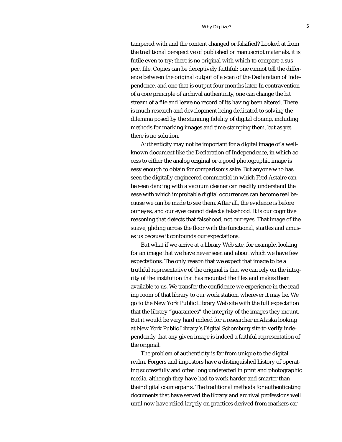tampered with and the content changed or falsified? Looked at from the traditional perspective of published or manuscript materials, it is futile even to try: there is no original with which to compare a suspect file. Copies can be deceptively faithful: one cannot tell the difference between the original output of a scan of the Declaration of Independence, and one that is output four months later. In contravention of a core principle of archival authenticity, one can change the bit stream of a file and leave no record of its having been altered. There is much research and development being dedicated to solving the dilemma posed by the stunning fidelity of digital cloning, including methods for marking images and time-stamping them, but as yet there is no solution.

Authenticity may not be important for a digital image of a wellknown document like the Declaration of Independence, in which access to either the analog original or a good photographic image is easy enough to obtain for comparison's sake. But anyone who has seen the digitally engineered commercial in which Fred Astaire can be seen dancing with a vacuum cleaner can readily understand the ease with which improbable digital occurrences can become real because we can be made to see them. After all, the evidence is before our eyes, and our eyes cannot detect a falsehood. It is our cognitive reasoning that detects that falsehood, not our eyes. That image of the suave, gliding across the floor with the functional, startles and amuses us because it confounds our expectations.

But what if we arrive at a library Web site, for example, looking for an image that we have never seen and about which we have few expectations. The only reason that we expect that image to be a truthful representative of the original is that we can rely on the integrity of the institution that has mounted the files and makes them available to us. We transfer the confidence we experience in the reading room of that library to our work station, wherever it may be. We go to the New York Public Library Web site with the full expectation that the library "guarantees" the integrity of the images they mount. But it would be very hard indeed for a researcher in Alaska looking at New York Public Library's Digital Schomburg site to verify independently that any given image is indeed a faithful representation of the original.

The problem of authenticity is far from unique to the digital realm. Forgers and impostors have a distinguished history of operating successfully and often long undetected in print and photographic media, although they have had to work harder and smarter than their digital counterparts. The traditional methods for authenticating documents that have served the library and archival professions well until now have relied largely on practices derived from markers car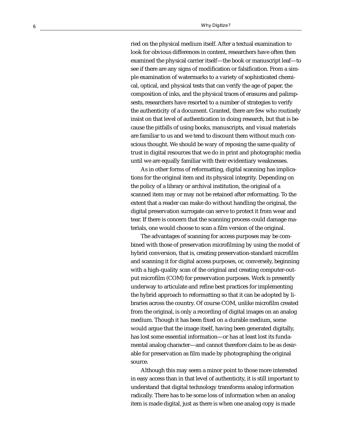ried on the physical medium itself. After a textual examination to look for obvious differences in content, researchers have often then examined the physical carrier itself—the book or manuscript leaf—to see if there are any signs of modification or falsification. From a simple examination of watermarks to a variety of sophisticated chemical, optical, and physical tests that can verify the age of paper, the composition of inks, and the physical traces of erasures and palimpsests, researchers have resorted to a number of strategies to verify the authenticity of a document. Granted, there are few who routinely insist on that level of authentication in doing research, but that is because the pitfalls of using books, manuscripts, and visual materials are familiar to us and we tend to discount them without much conscious thought. We should be wary of reposing the same quality of trust in digital resources that we do in print and photographic media until we are equally familiar with their evidentiary weaknesses.

As in other forms of reformatting, digital scanning has implications for the original item and its physical integrity. Depending on the policy of a library or archival institution, the original of a scanned item may or may not be retained after reformatting. To the extent that a reader can make do without handling the original, the digital preservation surrogate can serve to protect it from wear and tear. If there is concern that the scanning process could damage materials, one would choose to scan a film version of the original.

The advantages of scanning for access purposes may be combined with those of preservation microfilming by using the model of hybrid conversion, that is, creating preservation-standard microfilm and scanning it for digital access purposes, or, conversely, beginning with a high-quality scan of the original and creating computer-output microfilm (COM) for preservation purposes. Work is presently underway to articulate and refine best practices for implementing the hybrid approach to reformatting so that it can be adopted by libraries across the country. Of course COM, unlike microfilm created from the original, is only a recording of digital images on an analog medium. Though it has been fixed on a durable medium, some would argue that the image itself, having been generated digitally, has lost some essential information—or has at least lost its fundamental analog character—and cannot therefore claim to be as desirable for preservation as film made by photographing the original source.

Although this may seem a minor point to those more interested in easy access than in that level of authenticity, it is still important to understand that digital technology transforms analog information radically. There has to be some loss of information when an analog item is made digital, just as there is when one analog copy is made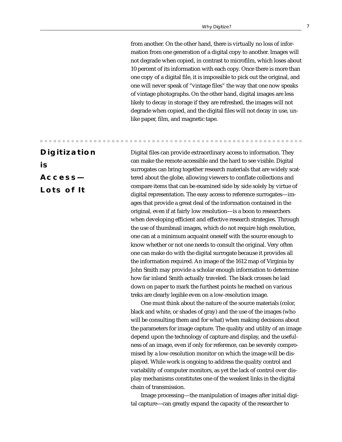from another. On the other hand, there is virtually no loss of information from one generation of a digital copy to another. Images will not degrade when copied, in contrast to microfilm, which loses about 10 percent of its information with each copy. Once there is more than one copy of a digital file, it is impossible to pick out the original, and one will never speak of "vintage files" the way that one now speaks of vintage photographs. On the other hand, digital images are less likely to decay in storage if they are refreshed, the images will not degrade when copied, and the digital files will not decay in use, unlike paper, film, and magnetic tape.

# **Digitization is Access— Lots of It**

Digital files can provide extraordinary access to information. They can make the remote accessible and the hard to see visible. Digital surrogates can bring together research materials that are widely scattered about the globe, allowing viewers to conflate collections and compare items that can be examined side by side solely by virtue of digital representation. The easy access to reference surrogates—images that provide a great deal of the information contained in the original, even if at fairly low resolution—is a boon to researchers when developing efficient and effective research strategies. Through the use of thumbnail images, which do not require high resolution, one can at a minimum acquaint oneself with the source enough to know whether or not one needs to consult the original. Very often one can make do with the digital surrogate because it provides all the information required. An image of the 1612 map of Virginia by John Smith may provide a scholar enough information to determine how far inland Smith actually traveled. The black crosses he laid down on paper to mark the furthest points he reached on various treks are clearly legible even on a low-resolution image.

One must think about the nature of the source materials (color, black and white, or shades of gray) and the use of the images (who will be consulting them and for what) when making decisions about the parameters for image capture. The quality and utility of an image depend upon the technology of capture and display, and the usefulness of an image, even if only for reference, can be severely compromised by a low-resolution monitor on which the image will be displayed. While work is ongoing to address the quality control and variability of computer monitors, as yet the lack of control over display mechanisms constitutes one of the weakest links in the digital chain of transmission.

Image processing—the manipulation of images after initial digital capture—can greatly expand the capacity of the researcher to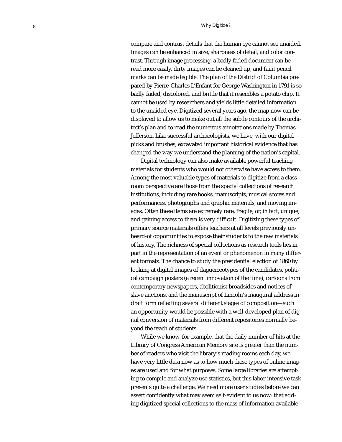compare and contrast details that the human eye cannot see unaided. Images can be enhanced in size, sharpness of detail, and color contrast. Through image processing, a badly faded document can be read more easily, dirty images can be cleaned up, and faint pencil marks can be made legible. The plan of the District of Columbia prepared by Pierre-Charles L'Enfant for George Washington in 1791 is so badly faded, discolored, and brittle that it resembles a potato chip. It cannot be used by researchers and yields little detailed information to the unaided eye. Digitized several years ago, the map now can be displayed to allow us to make out all the subtle contours of the architect's plan and to read the numerous annotations made by Thomas Jefferson. Like successful archaeologists, we have, with our digital picks and brushes, excavated important historical evidence that has changed the way we understand the planning of the nation's capital.

Digital technology can also make available powerful teaching materials for students who would not otherwise have access to them. Among the most valuable types of materials to digitize from a classroom perspective are those from the special collections of research institutions, including rare books, manuscripts, musical scores and performances, photographs and graphic materials, and moving images. Often these items are extremely rare, fragile, or, in fact, unique, and gaining access to them is very difficult. Digitizing these types of primary source materials offers teachers at all levels previously unheard-of opportunities to expose their students to the raw materials of history. The richness of special collections as research tools lies in part in the representation of an event or phenomenon in many different formats. The chance to study the presidential election of 1860 by looking at digital images of daguerreotypes of the candidates, political campaign posters (a recent innovation of the time), cartoons from contemporary newspapers, abolitionist broadsides and notices of slave auctions, and the manuscript of Lincoln's inaugural address in draft form reflecting several different stages of composition—such an opportunity would be possible with a well-developed plan of digital conversion of materials from different repositories normally beyond the reach of students.

While we know, for example, that the daily number of hits at the Library of Congress American Memory site is greater than the number of readers who visit the library's reading rooms each day, we have very little data now as to how much these types of online images are used and for what purposes. Some large libraries are attempting to compile and analyze use statistics, but this labor-intensive task presents quite a challenge. We need more user studies before we can assert confidently what may seem self-evident to us now: that adding digitized special collections to the mass of information available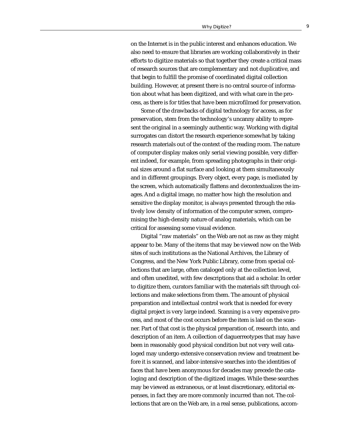on the Internet is in the public interest and enhances education. We also need to ensure that libraries are working collaboratively in their efforts to digitize materials so that together they create a critical mass of research sources that are complementary and not duplicative, and that begin to fulfill the promise of coordinated digital collection building. However, at present there is no central source of information about what has been digitized, and with what care in the process, as there is for titles that have been microfilmed for preservation.

Some of the drawbacks of digital technology for access, as for preservation, stem from the technology's uncanny ability to represent the original in a seemingly authentic way. Working with digital surrogates can distort the research experience somewhat by taking research materials out of the context of the reading room. The nature of computer display makes only serial viewing possible, very different indeed, for example, from spreading photographs in their original sizes around a flat surface and looking at them simultaneously and in different groupings. Every object, every page, is mediated by the screen, which automatically flattens and decontextualizes the images. And a digital image, no matter how high the resolution and sensitive the display monitor, is always presented through the relatively low density of information of the computer screen, compromising the high-density nature of analog materials, which can be critical for assessing some visual evidence.

Digital "raw materials" on the Web are not as raw as they might appear to be. Many of the items that may be viewed now on the Web sites of such institutions as the National Archives, the Library of Congress, and the New York Public Library, come from special collections that are large, often cataloged only at the collection level, and often unedited, with few descriptions that aid a scholar. In order to digitize them, curators familiar with the materials sift through collections and make selections from them. The amount of physical preparation and intellectual control work that is needed for every digital project is very large indeed. Scanning is a very expensive process, and most of the cost occurs before the item is laid on the scanner. Part of that cost is the physical preparation of, research into, and description of an item. A collection of daguerreotypes that may have been in reasonably good physical condition but not very well cataloged may undergo extensive conservation review and treatment before it is scanned, and labor-intensive searches into the identities of faces that have been anonymous for decades may precede the cataloging and description of the digitized images. While these searches may be viewed as extraneous, or at least discretionary, editorial expenses, in fact they are more commonly incurred than not. The collections that are on the Web are, in a real sense, publications, accom-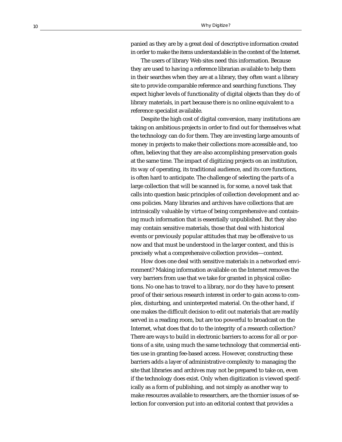panied as they are by a great deal of descriptive information created in order to make the items understandable in the context of the Internet.

The users of library Web sites need this information. Because they are used to having a reference librarian available to help them in their searches when they are at a library, they often want a library site to provide comparable reference and searching functions. They expect higher levels of functionality of digital objects than they do of library materials, in part because there is no online equivalent to a reference specialist available.

Despite the high cost of digital conversion, many institutions are taking on ambitious projects in order to find out for themselves what the technology can do for them. They are investing large amounts of money in projects to make their collections more accessible and, too often, believing that they are also accomplishing preservation goals at the same time. The impact of digitizing projects on an institution, its way of operating, its traditional audience, and its core functions, is often hard to anticipate. The challenge of selecting the parts of a large collection that will be scanned is, for some, a novel task that calls into question basic principles of collection development and access policies. Many libraries and archives have collections that are intrinsically valuable by virtue of being comprehensive and containing much information that is essentially unpublished. But they also may contain sensitive materials, those that deal with historical events or previously popular attitudes that may be offensive to us now and that must be understood in the larger context, and this is precisely what a comprehensive collection provides—context.

How does one deal with sensitive materials in a networked environment? Making information available on the Internet removes the very barriers from use that we take for granted in physical collections. No one has to travel to a library, nor do they have to present proof of their serious research interest in order to gain access to complex, disturbing, and uninterpreted material. On the other hand, if one makes the difficult decision to edit out materials that are readily served in a reading room, but are too powerful to broadcast on the Internet, what does that do to the integrity of a research collection? There are ways to build in electronic barriers to access for all or portions of a site, using much the same technology that commercial entities use in granting fee-based access. However, constructing these barriers adds a layer of administrative complexity to managing the site that libraries and archives may not be prepared to take on, even if the technology does exist. Only when digitization is viewed specifically as a form of publishing, and not simply as another way to make resources available to researchers, are the thornier issues of selection for conversion put into an editorial context that provides a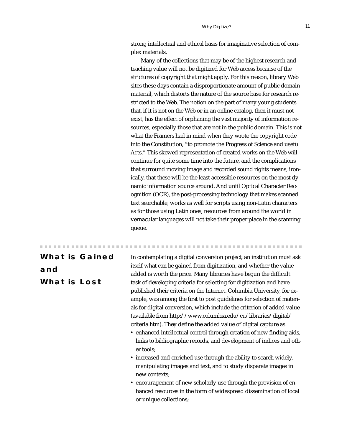strong intellectual and ethical basis for imaginative selection of complex materials.

Many of the collections that may be of the highest research and teaching value will not be digitized for Web access because of the strictures of copyright that might apply. For this reason, library Web sites these days contain a disproportionate amount of public domain material, which distorts the nature of the source base for research restricted to the Web. The notion on the part of many young students that, if it is not on the Web or in an online catalog, then it must not exist, has the effect of orphaning the vast majority of information resources, especially those that are not in the public domain. This is not what the Framers had in mind when they wrote the copyright code into the Constitution, "to promote the Progress of Science and useful Arts." This skewed representation of created works on the Web will continue for quite some time into the future, and the complications that surround moving image and recorded sound rights means, ironically, that these will be the least accessible resources on the most dynamic information source around. And until Optical Character Recognition (OCR), the post-processing technology that makes scanned text searchable, works as well for scripts using non-Latin characters as for those using Latin ones, resources from around the world in vernacular languages will not take their proper place in the scanning queue.

# **What is Gained and What is Lost**

In contemplating a digital conversion project, an institution must ask itself what can be gained from digitization, and whether the value added is worth the price. Many libraries have begun the difficult task of developing criteria for selecting for digitization and have published their criteria on the Internet. Columbia University, for example, was among the first to post guidelines for selection of materials for digital conversion, which include the criterion of added value (available from http://www.columbia.edu/cu/libraries/digital/ criteria.htm). They define the added value of digital capture as

- enhanced intellectual control through creation of new finding aids, links to bibliographic records, and development of indices and other tools;
- increased and enriched use through the ability to search widely, manipulating images and text, and to study disparate images in new contexts;
- encouragement of new scholarly use through the provision of enhanced resources in the form of widespread dissemination of local or unique collections;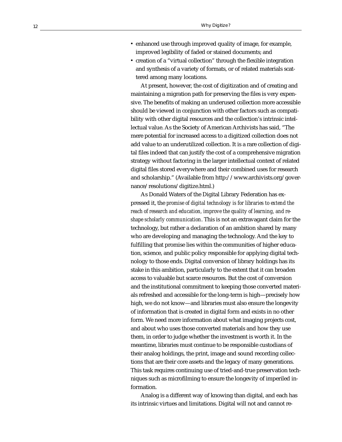- enhanced use through improved quality of image, for example, improved legibility of faded or stained documents; and
- creation of a "virtual collection" through the flexible integration and synthesis of a variety of formats, or of related materials scattered among many locations.

At present, however, the cost of digitization and of creating and maintaining a migration path for preserving the files is very expensive. The benefits of making an underused collection more accessible should be viewed in conjunction with other factors such as compatibility with other digital resources and the collection's intrinsic intellectual value. As the Society of American Archivists has said, "The mere potential for increased access to a digitized collection does not add value to an underutilized collection. It is a rare collection of digital files indeed that can justify the cost of a comprehensive migration strategy without factoring in the larger intellectual context of related digital files stored everywhere and their combined uses for research and scholarship." (Available from http://www.archivists.org/governance/resolutions/digitize.html.)

As Donald Waters of the Digital Library Federation has expressed it, the *promise of digital technology is for libraries to extend the reach of research and education, improve the quality of learning, and reshape scholarly communication*. This is not an extravagant claim for the technology, but rather a declaration of an ambition shared by many who are developing and managing the technology. And the key to fulfilling that promise lies within the communities of higher education, science, and public policy responsible for applying digital technology to those ends. Digital conversion of library holdings has its stake in this ambition, particularly to the extent that it can broaden access to valuable but scarce resources. But the cost of conversion and the institutional commitment to keeping those converted materials refreshed and accessible for the long-term is high—precisely how high, we do not know—and libraries must also ensure the longevity of information that is created in digital form and exists in no other form. We need more information about what imaging projects cost, and about who uses those converted materials and how they use them, in order to judge whether the investment is worth it. In the meantime, libraries must continue to be responsible custodians of their analog holdings, the print, image and sound recording collections that are their core assets and the legacy of many generations. This task requires continuing use of tried-and-true preservation techniques such as microfilming to ensure the longevity of imperiled information.

Analog is a different way of knowing than digital, and each has its intrinsic virtues and limitations. Digital will not and cannot re-